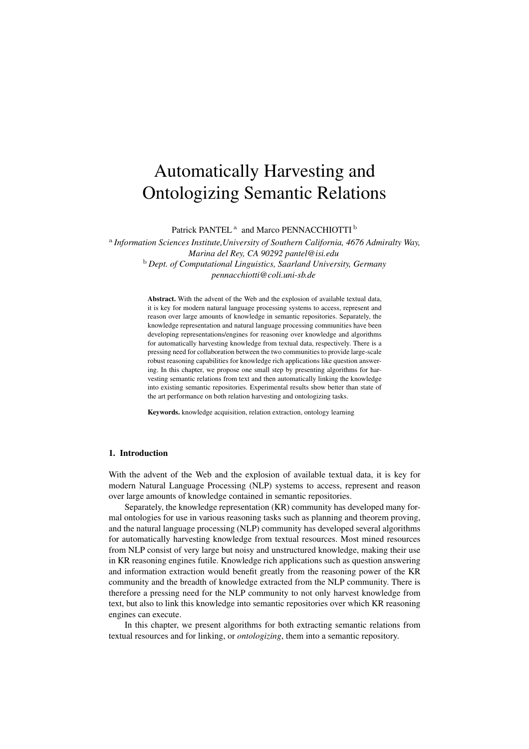# Automatically Harvesting and Ontologizing Semantic Relations

Patrick PANTEL<sup>a</sup> and Marco PENNACCHIOTTI<sup>b</sup>

<sup>a</sup> Information Sciences Institute, University of Southern California, 4676 Admiralty Way, *Marina del Rey, CA 90292 pantel@isi.edu* <sup>b</sup> *Dept. of Computational Linguistics, Saarland University, Germany pennacchiotti@coli.uni-sb.de*

> Abstract. With the advent of the Web and the explosion of available textual data, it is key for modern natural language processing systems to access, represent and reason over large amounts of knowledge in semantic repositories. Separately, the knowledge representation and natural language processing communities have been developing representations/engines for reasoning over knowledge and algorithms for automatically harvesting knowledge from textual data, respectively. There is a pressing need for collaboration between the two communities to provide large-scale robust reasoning capabilities for knowledge rich applications like question answering. In this chapter, we propose one small step by presenting algorithms for harvesting semantic relations from text and then automatically linking the knowledge into existing semantic repositories. Experimental results show better than state of the art performance on both relation harvesting and ontologizing tasks.

Keywords. knowledge acquisition, relation extraction, ontology learning

## 1. Introduction

With the advent of the Web and the explosion of available textual data, it is key for modern Natural Language Processing (NLP) systems to access, represent and reason over large amounts of knowledge contained in semantic repositories.

Separately, the knowledge representation (KR) community has developed many formal ontologies for use in various reasoning tasks such as planning and theorem proving, and the natural language processing (NLP) community has developed several algorithms for automatically harvesting knowledge from textual resources. Most mined resources from NLP consist of very large but noisy and unstructured knowledge, making their use in KR reasoning engines futile. Knowledge rich applications such as question answering and information extraction would benefit greatly from the reasoning power of the KR community and the breadth of knowledge extracted from the NLP community. There is therefore a pressing need for the NLP community to not only harvest knowledge from text, but also to link this knowledge into semantic repositories over which KR reasoning engines can execute.

In this chapter, we present algorithms for both extracting semantic relations from textual resources and for linking, or *ontologizing*, them into a semantic repository.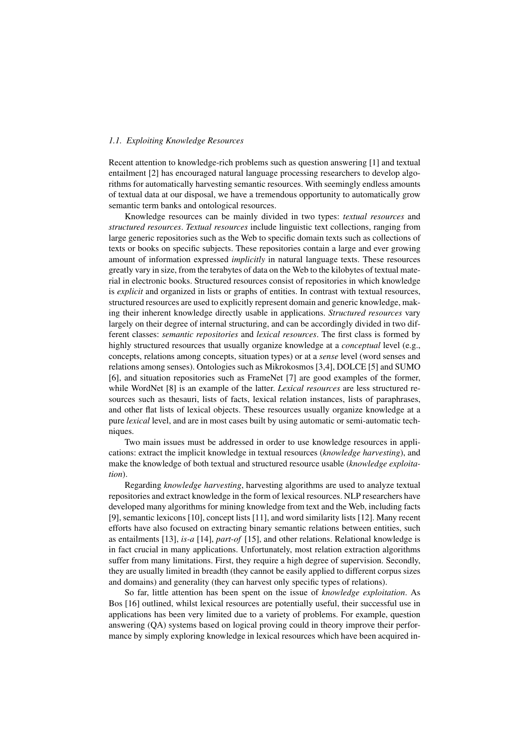# *1.1. Exploiting Knowledge Resources*

Recent attention to knowledge-rich problems such as question answering [1] and textual entailment [2] has encouraged natural language processing researchers to develop algorithms for automatically harvesting semantic resources. With seemingly endless amounts of textual data at our disposal, we have a tremendous opportunity to automatically grow semantic term banks and ontological resources.

Knowledge resources can be mainly divided in two types: *textual resources* and *structured resources*. *Textual resources* include linguistic text collections, ranging from large generic repositories such as the Web to specific domain texts such as collections of texts or books on specific subjects. These repositories contain a large and ever growing amount of information expressed *implicitly* in natural language texts. These resources greatly vary in size, from the terabytes of data on the Web to the kilobytes of textual material in electronic books. Structured resources consist of repositories in which knowledge is *explicit* and organized in lists or graphs of entities. In contrast with textual resources, structured resources are used to explicitly represent domain and generic knowledge, making their inherent knowledge directly usable in applications. *Structured resources* vary largely on their degree of internal structuring, and can be accordingly divided in two different classes: *semantic repositories* and *lexical resources*. The first class is formed by highly structured resources that usually organize knowledge at a *conceptual* level (e.g., concepts, relations among concepts, situation types) or at a *sense* level (word senses and relations among senses). Ontologies such as Mikrokosmos [3,4], DOLCE [5] and SUMO [6], and situation repositories such as FrameNet [7] are good examples of the former, while WordNet [8] is an example of the latter. *Lexical resources* are less structured resources such as thesauri, lists of facts, lexical relation instances, lists of paraphrases, and other flat lists of lexical objects. These resources usually organize knowledge at a pure *lexical* level, and are in most cases built by using automatic or semi-automatic techniques.

Two main issues must be addressed in order to use knowledge resources in applications: extract the implicit knowledge in textual resources (*knowledge harvesting*), and make the knowledge of both textual and structured resource usable (*knowledge exploitation*).

Regarding *knowledge harvesting*, harvesting algorithms are used to analyze textual repositories and extract knowledge in the form of lexical resources. NLP researchers have developed many algorithms for mining knowledge from text and the Web, including facts [9], semantic lexicons [10], concept lists [11], and word similarity lists [12]. Many recent efforts have also focused on extracting binary semantic relations between entities, such as entailments [13], *is-a* [14], *part-of* [15], and other relations. Relational knowledge is in fact crucial in many applications. Unfortunately, most relation extraction algorithms suffer from many limitations. First, they require a high degree of supervision. Secondly, they are usually limited in breadth (they cannot be easily applied to different corpus sizes and domains) and generality (they can harvest only specific types of relations).

So far, little attention has been spent on the issue of *knowledge exploitation*. As Bos [16] outlined, whilst lexical resources are potentially useful, their successful use in applications has been very limited due to a variety of problems. For example, question answering (QA) systems based on logical proving could in theory improve their performance by simply exploring knowledge in lexical resources which have been acquired in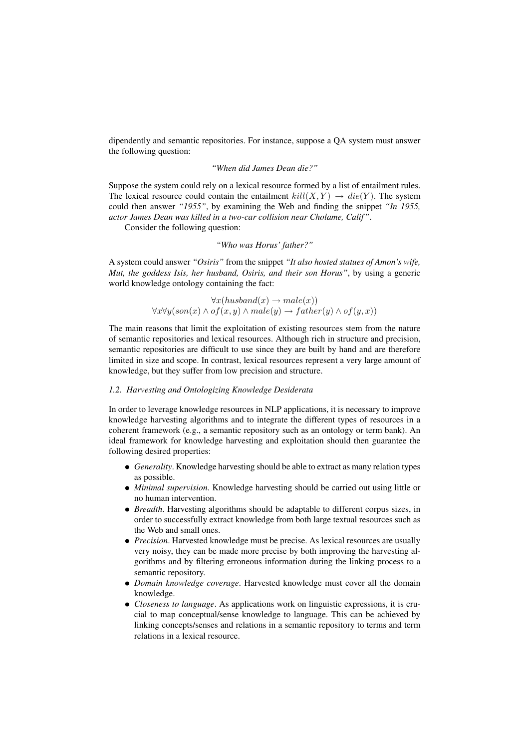dipendently and semantic repositories. For instance, suppose a QA system must answer the following question:

# *"When did James Dean die?"*

Suppose the system could rely on a lexical resource formed by a list of entailment rules. The lexical resource could contain the entailment  $kill(X, Y) \rightarrow die(Y)$ . The system could then answer *"1955"*, by examining the Web and finding the snippet *"In 1955, actor James Dean was killed in a two-car collision near Cholame, Calif"*.

Consider the following question:

*"Who was Horus' father?"*

A system could answer *"Osiris"* from the snippet *"It also hosted statues of Amon's wife, Mut, the goddess Isis, her husband, Osiris, and their son Horus"*, by using a generic world knowledge ontology containing the fact:

$$
\forall x (husband(x) \rightarrow male(x))
$$
  

$$
\forall x \forall y (son(x) \land of(x, y) \land male(y) \rightarrow father(y) \land of(y, x))
$$

The main reasons that limit the exploitation of existing resources stem from the nature of semantic repositories and lexical resources. Although rich in structure and precision, semantic repositories are difficult to use since they are built by hand and are therefore limited in size and scope. In contrast, lexical resources represent a very large amount of knowledge, but they suffer from low precision and structure.

# *1.2. Harvesting and Ontologizing Knowledge Desiderata*

In order to leverage knowledge resources in NLP applications, it is necessary to improve knowledge harvesting algorithms and to integrate the different types of resources in a coherent framework (e.g., a semantic repository such as an ontology or term bank). An ideal framework for knowledge harvesting and exploitation should then guarantee the following desired properties:

- *Generality*. Knowledge harvesting should be able to extract as many relation types as possible.
- *Minimal supervision*. Knowledge harvesting should be carried out using little or no human intervention.
- *Breadth*. Harvesting algorithms should be adaptable to different corpus sizes, in order to successfully extract knowledge from both large textual resources such as the Web and small ones.
- *Precision*. Harvested knowledge must be precise. As lexical resources are usually very noisy, they can be made more precise by both improving the harvesting algorithms and by filtering erroneous information during the linking process to a semantic repository.
- *Domain knowledge coverage*. Harvested knowledge must cover all the domain knowledge.
- *Closeness to language*. As applications work on linguistic expressions, it is crucial to map conceptual/sense knowledge to language. This can be achieved by linking concepts/senses and relations in a semantic repository to terms and term relations in a lexical resource.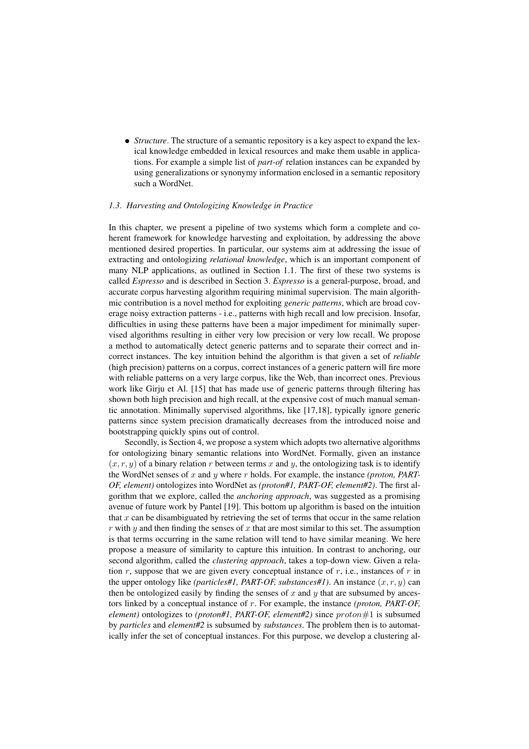• *Structure*. The structure of a semantic repository is a key aspect to expand the lexical knowledge embedded in lexical resources and make them usable in applications. For example a simple list of *part-of* relation instances can be expanded by using generalizations or synonymy information enclosed in a semantic repository such a WordNet.

# *1.3. Harvesting and Ontologizing Knowledge in Practice*

In this chapter, we present a pipeline of two systems which form a complete and coherent framework for knowledge harvesting and exploitation, by addressing the above mentioned desired properties. In particular, our systems aim at addressing the issue of extracting and ontologizing *relational knowledge*, which is an important component of many NLP applications, as outlined in Section 1.1. The first of these two systems is called *Espresso* and is described in Section 3. *Espresso* is a general-purpose, broad, and accurate corpus harvesting algorithm requiring minimal supervision. The main algorithmic contribution is a novel method for exploiting *generic patterns*, which are broad coverage noisy extraction patterns - i.e., patterns with high recall and low precision. Insofar, difficulties in using these patterns have been a major impediment for minimally supervised algorithms resulting in either very low precision or very low recall. We propose a method to automatically detect generic patterns and to separate their correct and incorrect instances. The key intuition behind the algorithm is that given a set of *reliable* (high precision) patterns on a corpus, correct instances of a generic pattern will fire more with reliable patterns on a very large corpus, like the Web, than incorrect ones. Previous work like Girju et Al. [15] that has made use of generic patterns through filtering has shown both high precision and high recall, at the expensive cost of much manual semantic annotation. Minimally supervised algorithms, like [17,18], typically ignore generic patterns since system precision dramatically decreases from the introduced noise and bootstrapping quickly spins out of control.

Secondly, is Section 4, we propose a system which adopts two alternative algorithms for ontologizing binary semantic relations into WordNet. Formally, given an instance  $(x, r, y)$  of a binary relation r between terms x and y, the ontologizing task is to identify the WordNet senses of x and y where r holds. For example, the instance *(proton, PART-OF, element)* ontologizes into WordNet as *(proton#1, PART-OF, element#2)*. The first algorithm that we explore, called the *anchoring approach*, was suggested as a promising avenue of future work by Pantel [19]. This bottom up algorithm is based on the intuition that  $x$  can be disambiguated by retrieving the set of terms that occur in the same relation  $r$  with  $y$  and then finding the senses of  $x$  that are most similar to this set. The assumption is that terms occurring in the same relation will tend to have similar meaning. We here propose a measure of similarity to capture this intuition. In contrast to anchoring, our second algorithm, called the *clustering approach*, takes a top-down view. Given a relation r, suppose that we are given every conceptual instance of r, i.e., instances of r in the upper ontology like *(particles#1, PART-OF, substances#1)*. An instance  $(x, r, y)$  can then be ontologized easily by finding the senses of  $x$  and  $y$  that are subsumed by ancestors linked by a conceptual instance of r. For example, the instance *(proton, PART-OF, element)* ontologizes to *(proton#1, PART-OF, element#2)* since proton#1 is subsumed by *particles* and *element#2* is subsumed by *substances*. The problem then is to automatically infer the set of conceptual instances. For this purpose, we develop a clustering al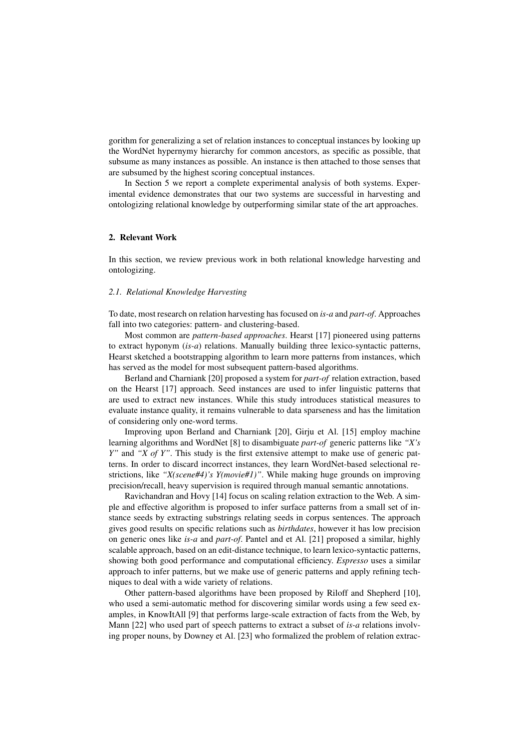gorithm for generalizing a set of relation instances to conceptual instances by looking up the WordNet hypernymy hierarchy for common ancestors, as specific as possible, that subsume as many instances as possible. An instance is then attached to those senses that are subsumed by the highest scoring conceptual instances.

In Section 5 we report a complete experimental analysis of both systems. Experimental evidence demonstrates that our two systems are successful in harvesting and ontologizing relational knowledge by outperforming similar state of the art approaches.

## 2. Relevant Work

In this section, we review previous work in both relational knowledge harvesting and ontologizing.

# *2.1. Relational Knowledge Harvesting*

To date, most research on relation harvesting has focused on *is-a* and *part-of*. Approaches fall into two categories: pattern- and clustering-based.

Most common are *pattern-based approaches*. Hearst [17] pioneered using patterns to extract hyponym (*is-a*) relations. Manually building three lexico-syntactic patterns, Hearst sketched a bootstrapping algorithm to learn more patterns from instances, which has served as the model for most subsequent pattern-based algorithms.

Berland and Charniank [20] proposed a system for *part-of* relation extraction, based on the Hearst [17] approach. Seed instances are used to infer linguistic patterns that are used to extract new instances. While this study introduces statistical measures to evaluate instance quality, it remains vulnerable to data sparseness and has the limitation of considering only one-word terms.

Improving upon Berland and Charniank [20], Girju et Al. [15] employ machine learning algorithms and WordNet [8] to disambiguate *part-of* generic patterns like *"X's Y"* and *"X of Y"*. This study is the first extensive attempt to make use of generic patterns. In order to discard incorrect instances, they learn WordNet-based selectional restrictions, like *"X(scene#4)'s Y(movie#1)"*. While making huge grounds on improving precision/recall, heavy supervision is required through manual semantic annotations.

Ravichandran and Hovy [14] focus on scaling relation extraction to the Web. A simple and effective algorithm is proposed to infer surface patterns from a small set of instance seeds by extracting substrings relating seeds in corpus sentences. The approach gives good results on specific relations such as *birthdates*, however it has low precision on generic ones like *is-a* and *part-of*. Pantel and et Al. [21] proposed a similar, highly scalable approach, based on an edit-distance technique, to learn lexico-syntactic patterns, showing both good performance and computational efficiency. *Espresso* uses a similar approach to infer patterns, but we make use of generic patterns and apply refining techniques to deal with a wide variety of relations.

Other pattern-based algorithms have been proposed by Riloff and Shepherd [10], who used a semi-automatic method for discovering similar words using a few seed examples, in KnowItAll [9] that performs large-scale extraction of facts from the Web, by Mann [22] who used part of speech patterns to extract a subset of *is-a* relations involving proper nouns, by Downey et Al. [23] who formalized the problem of relation extrac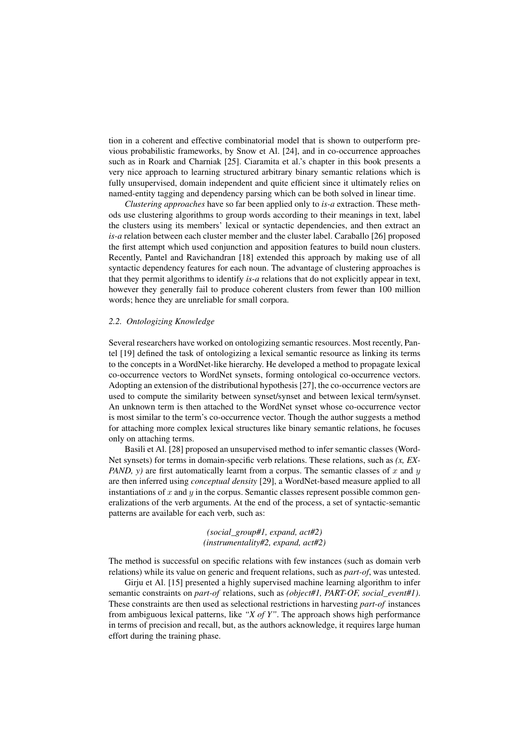tion in a coherent and effective combinatorial model that is shown to outperform previous probabilistic frameworks, by Snow et Al. [24], and in co-occurrence approaches such as in Roark and Charniak [25]. Ciaramita et al.'s chapter in this book presents a very nice approach to learning structured arbitrary binary semantic relations which is fully unsupervised, domain independent and quite efficient since it ultimately relies on named-entity tagging and dependency parsing which can be both solved in linear time.

*Clustering approaches* have so far been applied only to *is-a* extraction. These methods use clustering algorithms to group words according to their meanings in text, label the clusters using its members' lexical or syntactic dependencies, and then extract an *is-a* relation between each cluster member and the cluster label. Caraballo [26] proposed the first attempt which used conjunction and apposition features to build noun clusters. Recently, Pantel and Ravichandran [18] extended this approach by making use of all syntactic dependency features for each noun. The advantage of clustering approaches is that they permit algorithms to identify *is-a* relations that do not explicitly appear in text, however they generally fail to produce coherent clusters from fewer than 100 million words; hence they are unreliable for small corpora.

#### *2.2. Ontologizing Knowledge*

Several researchers have worked on ontologizing semantic resources. Most recently, Pantel [19] defined the task of ontologizing a lexical semantic resource as linking its terms to the concepts in a WordNet-like hierarchy. He developed a method to propagate lexical co-occurrence vectors to WordNet synsets, forming ontological co-occurrence vectors. Adopting an extension of the distributional hypothesis [27], the co-occurrence vectors are used to compute the similarity between synset/synset and between lexical term/synset. An unknown term is then attached to the WordNet synset whose co-occurrence vector is most similar to the term's co-occurrence vector. Though the author suggests a method for attaching more complex lexical structures like binary semantic relations, he focuses only on attaching terms.

Basili et Al. [28] proposed an unsupervised method to infer semantic classes (Word-Net synsets) for terms in domain-specific verb relations. These relations, such as *(x, EX-PAND, y)* are first automatically learnt from a corpus. The semantic classes of x and y are then inferred using *conceptual density* [29], a WordNet-based measure applied to all instantiations of x and  $\gamma$  in the corpus. Semantic classes represent possible common generalizations of the verb arguments. At the end of the process, a set of syntactic-semantic patterns are available for each verb, such as:

# *(social\_group#1, expand, act#2) (instrumentality#2, expand, act#2)*

The method is successful on specific relations with few instances (such as domain verb relations) while its value on generic and frequent relations, such as *part-of*, was untested.

Girju et Al. [15] presented a highly supervised machine learning algorithm to infer semantic constraints on *part-of* relations, such as *(object#1, PART-OF, social\_event#1)*. These constraints are then used as selectional restrictions in harvesting *part-of* instances from ambiguous lexical patterns, like *"X of Y"*. The approach shows high performance in terms of precision and recall, but, as the authors acknowledge, it requires large human effort during the training phase.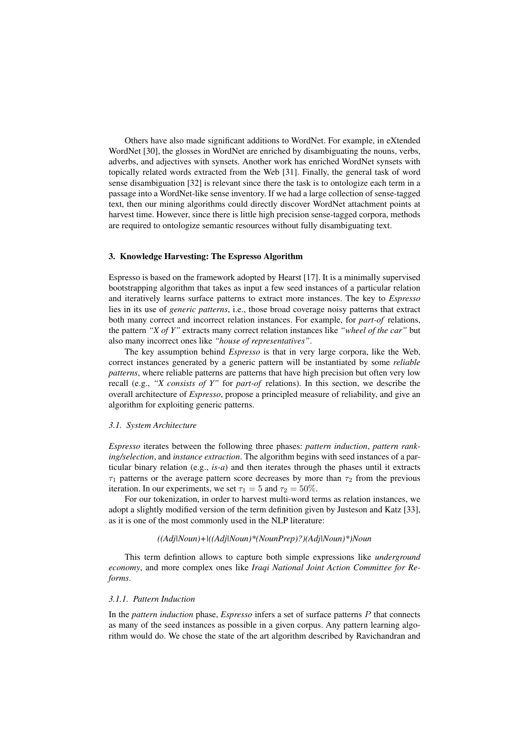Others have also made significant additions to WordNet. For example, in eXtended WordNet [30], the glosses in WordNet are enriched by disambiguating the nouns, verbs, adverbs, and adjectives with synsets. Another work has enriched WordNet synsets with topically related words extracted from the Web [31]. Finally, the general task of word sense disambiguation [32] is relevant since there the task is to ontologize each term in a passage into a WordNet-like sense inventory. If we had a large collection of sense-tagged text, then our mining algorithms could directly discover WordNet attachment points at harvest time. However, since there is little high precision sense-tagged corpora, methods are required to ontologize semantic resources without fully disambiguating text.

## 3. Knowledge Harvesting: The Espresso Algorithm

Espresso is based on the framework adopted by Hearst [17]. It is a minimally supervised bootstrapping algorithm that takes as input a few seed instances of a particular relation and iteratively learns surface patterns to extract more instances. The key to *Espresso* lies in its use of *generic patterns*, i.e., those broad coverage noisy patterns that extract both many correct and incorrect relation instances. For example, for *part-of* relations, the pattern *"X of Y"* extracts many correct relation instances like *"wheel of the car"* but also many incorrect ones like *"house of representatives"*.

The key assumption behind *Espresso* is that in very large corpora, like the Web, correct instances generated by a generic pattern will be instantiated by some *reliable patterns*, where reliable patterns are patterns that have high precision but often very low recall (e.g., *"X consists of Y"* for *part-of* relations). In this section, we describe the overall architecture of *Espresso*, propose a principled measure of reliability, and give an algorithm for exploiting generic patterns.

#### *3.1. System Architecture*

*Espresso* iterates between the following three phases: *pattern induction*, *pattern ranking/selection*, and *instance extraction*. The algorithm begins with seed instances of a particular binary relation (e.g., *is-a*) and then iterates through the phases until it extracts  $\tau_1$  patterns or the average pattern score decreases by more than  $\tau_2$  from the previous iteration. In our experiments, we set  $\tau_1 = 5$  and  $\tau_2 = 50\%$ .

For our tokenization, in order to harvest multi-word terms as relation instances, we adopt a slightly modified version of the term definition given by Justeson and Katz [33], as it is one of the most commonly used in the NLP literature:

#### *((Adj|Noun)+|((Adj|Noun)\*(NounPrep)?)(Adj|Noun)\*)Noun*

This term defintion allows to capture both simple expressions like *underground economy*, and more complex ones like *Iraqi National Joint Action Committee for Reforms*.

# *3.1.1. Pattern Induction*

In the *pattern induction* phase, *Espresso* infers a set of surface patterns P that connects as many of the seed instances as possible in a given corpus. Any pattern learning algorithm would do. We chose the state of the art algorithm described by Ravichandran and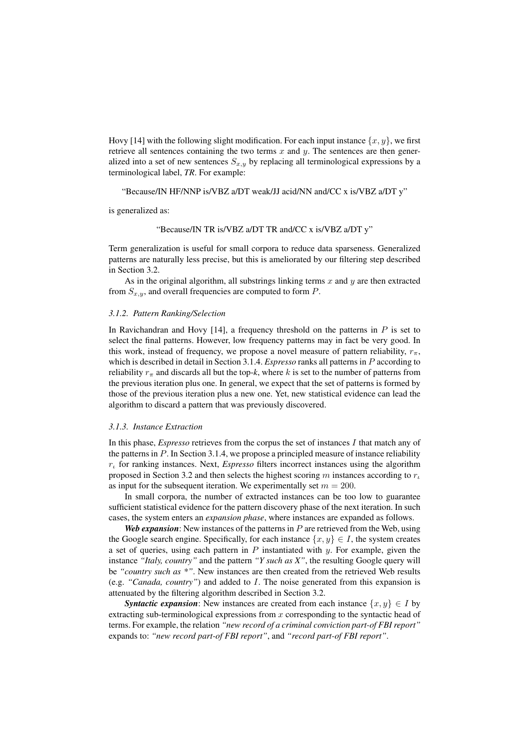Hovy [14] with the following slight modification. For each input instance  $\{x, y\}$ , we first retrieve all sentences containing the two terms  $x$  and  $y$ . The sentences are then generalized into a set of new sentences  $S_{x,y}$  by replacing all terminological expressions by a terminological label, *TR*. For example:

"Because/IN HF/NNP is/VBZ a/DT weak/JJ acid/NN and/CC x is/VBZ a/DT y"

is generalized as:

## "Because/IN TR is/VBZ a/DT TR and/CC x is/VBZ a/DT y"

Term generalization is useful for small corpora to reduce data sparseness. Generalized patterns are naturally less precise, but this is ameliorated by our filtering step described in Section 3.2.

As in the original algorithm, all substrings linking terms  $x$  and  $y$  are then extracted from  $S_{x,y}$ , and overall frequencies are computed to form P.

#### *3.1.2. Pattern Ranking/Selection*

In Ravichandran and Hovy  $[14]$ , a frequency threshold on the patterns in P is set to select the final patterns. However, low frequency patterns may in fact be very good. In this work, instead of frequency, we propose a novel measure of pattern reliability,  $r_{\pi}$ , which is described in detail in Section 3.1.4. *Espresso* ranks all patterns in P according to reliability  $r_{\pi}$  and discards all but the top-*k*, where k is set to the number of patterns from the previous iteration plus one. In general, we expect that the set of patterns is formed by those of the previous iteration plus a new one. Yet, new statistical evidence can lead the algorithm to discard a pattern that was previously discovered.

## *3.1.3. Instance Extraction*

In this phase, *Espresso* retrieves from the corpus the set of instances I that match any of the patterns in P. In Section 3.1.4, we propose a principled measure of instance reliability r<sup>ι</sup> for ranking instances. Next, *Espresso* filters incorrect instances using the algorithm proposed in Section 3.2 and then selects the highest scoring m instances according to  $r_i$ as input for the subsequent iteration. We experimentally set  $m = 200$ .

In small corpora, the number of extracted instances can be too low to guarantee sufficient statistical evidence for the pattern discovery phase of the next iteration. In such cases, the system enters an *expansion phase*, where instances are expanded as follows.

*Web expansion*: New instances of the patterns in P are retrieved from the Web, using the Google search engine. Specifically, for each instance  $\{x, y\} \in I$ , the system creates a set of queries, using each pattern in  $P$  instantiated with  $y$ . For example, given the instance *"Italy, country"* and the pattern *"Y such as X"*, the resulting Google query will be *"country such as \*"*. New instances are then created from the retrieved Web results (e.g. *"Canada, country"*) and added to I. The noise generated from this expansion is attenuated by the filtering algorithm described in Section 3.2.

*Syntactic expansion*: New instances are created from each instance  $\{x, y\} \in I$  by extracting sub-terminological expressions from x corresponding to the syntactic head of terms. For example, the relation *"new record of a criminal conviction part-of FBI report"* expands to: *"new record part-of FBI report"*, and *"record part-of FBI report"*.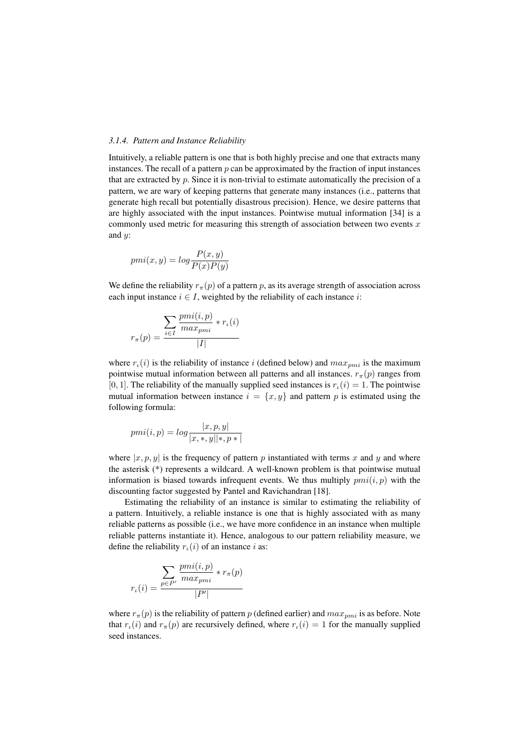# *3.1.4. Pattern and Instance Reliability*

Intuitively, a reliable pattern is one that is both highly precise and one that extracts many instances. The recall of a pattern  $p$  can be approximated by the fraction of input instances that are extracted by  $p$ . Since it is non-trivial to estimate automatically the precision of a pattern, we are wary of keeping patterns that generate many instances (i.e., patterns that generate high recall but potentially disastrous precision). Hence, we desire patterns that are highly associated with the input instances. Pointwise mutual information [34] is a commonly used metric for measuring this strength of association between two events  $x$ and y:

$$
pmi(x, y) = log \frac{P(x, y)}{P(x)P(y)}
$$

We define the reliability  $r_{\pi}(p)$  of a pattern p, as its average strength of association across each input instance  $i \in I$ , weighted by the reliability of each instance i:

$$
r_{\pi}(p) = \frac{\sum_{i \in I} \frac{pmi(i,p)}{max_{pmi}} * r_{\iota}(i)}{|I|}
$$

where  $r_i(i)$  is the reliability of instance i (defined below) and  $max_{pmi}$  is the maximum pointwise mutual information between all patterns and all instances.  $r_{\pi}(p)$  ranges from [0, 1]. The reliability of the manually supplied seed instances is  $r_i(i) = 1$ . The pointwise mutual information between instance  $i = \{x, y\}$  and pattern p is estimated using the following formula:

$$
pmi(i, p) = log \frac{|x, p, y|}{|x, *, y||*, p *|}
$$

where  $|x, p, y|$  is the frequency of pattern p instantiated with terms x and y and where the asterisk (\*) represents a wildcard. A well-known problem is that pointwise mutual information is biased towards infrequent events. We thus multiply  $pmi(i, p)$  with the discounting factor suggested by Pantel and Ravichandran [18].

Estimating the reliability of an instance is similar to estimating the reliability of a pattern. Intuitively, a reliable instance is one that is highly associated with as many reliable patterns as possible (i.e., we have more confidence in an instance when multiple reliable patterns instantiate it). Hence, analogous to our pattern reliability measure, we define the reliability  $r_i(i)$  of an instance i as:

$$
r_{\iota}(i) = \frac{\sum_{p \in P'} \frac{pmi(i, p)}{max_{pmi}} * r_{\pi}(p)}{|P'|}
$$

where  $r_{\pi}(p)$  is the reliability of pattern p (defined earlier) and  $max_{i}$  is as before. Note that  $r_{\iota}(i)$  and  $r_{\pi}(p)$  are recursively defined, where  $r_{\iota}(i) = 1$  for the manually supplied seed instances.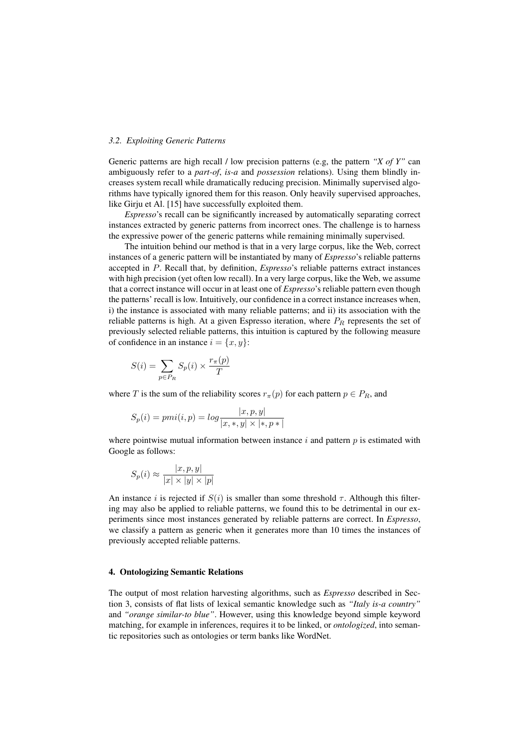## *3.2. Exploiting Generic Patterns*

Generic patterns are high recall / low precision patterns (e.g, the pattern *"X of Y"* can ambiguously refer to a *part-of*, *is-a* and *possession* relations). Using them blindly increases system recall while dramatically reducing precision. Minimally supervised algorithms have typically ignored them for this reason. Only heavily supervised approaches, like Girju et Al. [15] have successfully exploited them.

*Espresso*'s recall can be significantly increased by automatically separating correct instances extracted by generic patterns from incorrect ones. The challenge is to harness the expressive power of the generic patterns while remaining minimally supervised.

The intuition behind our method is that in a very large corpus, like the Web, correct instances of a generic pattern will be instantiated by many of *Espresso*'s reliable patterns accepted in P. Recall that, by definition, *Espresso*'s reliable patterns extract instances with high precision (yet often low recall). In a very large corpus, like the Web, we assume that a correct instance will occur in at least one of *Espresso*'s reliable pattern even though the patterns' recall is low. Intuitively, our confidence in a correct instance increases when, i) the instance is associated with many reliable patterns; and ii) its association with the reliable patterns is high. At a given Espresso iteration, where  $P_R$  represents the set of previously selected reliable patterns, this intuition is captured by the following measure of confidence in an instance  $i = \{x, y\}$ :

$$
S(i) = \sum_{p \in P_R} S_p(i) \times \frac{r_{\pi}(p)}{T}
$$

where T is the sum of the reliability scores  $r_{\pi}(p)$  for each pattern  $p \in P_R$ , and

$$
S_p(i) = pmi(i, p) = log \frac{|x, p, y|}{|x, *, y| \times |*, p * |}
$$

where pointwise mutual information between instance i and pattern  $p$  is estimated with Google as follows:

$$
S_p(i) \approx \frac{|x, p, y|}{|x| \times |y| \times |p|}
$$

An instance i is rejected if  $S(i)$  is smaller than some threshold  $\tau$ . Although this filtering may also be applied to reliable patterns, we found this to be detrimental in our experiments since most instances generated by reliable patterns are correct. In *Espresso*, we classify a pattern as generic when it generates more than 10 times the instances of previously accepted reliable patterns.

#### 4. Ontologizing Semantic Relations

The output of most relation harvesting algorithms, such as *Espresso* described in Section 3, consists of flat lists of lexical semantic knowledge such as *"Italy is-a country"* and *"orange similar-to blue"*. However, using this knowledge beyond simple keyword matching, for example in inferences, requires it to be linked, or *ontologized*, into semantic repositories such as ontologies or term banks like WordNet.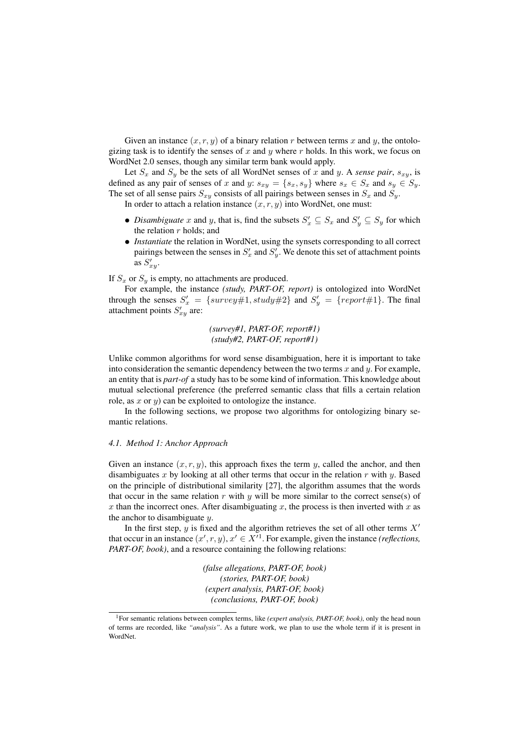Given an instance  $(x, r, y)$  of a binary relation r between terms x and y, the ontologizing task is to identify the senses of x and y where r holds. In this work, we focus on WordNet 2.0 senses, though any similar term bank would apply.

Let  $S_x$  and  $S_y$  be the sets of all WordNet senses of x and y. A *sense pair*,  $s_{xy}$ , is defined as any pair of senses of x and y:  $s_{xy} = \{s_x, s_y\}$  where  $s_x \in S_x$  and  $s_y \in S_y$ . The set of all sense pairs  $S_{xy}$  consists of all pairings between senses in  $S_x$  and  $S_y$ .

In order to attach a relation instance  $(x, r, y)$  into WordNet, one must:

- *Disambiguate* x and y, that is, find the subsets  $S'_x \subseteq S_x$  and  $S'_y \subseteq S_y$  for which the relation  $r$  holds; and
- *Instantiate* the relation in WordNet, using the synsets corresponding to all correct pairings between the senses in  $S'_x$  and  $S'_y$ . We denote this set of attachment points as  $S'_{xy}$ .

If  $S_x$  or  $S_y$  is empty, no attachments are produced.

For example, the instance *(study, PART-OF, report)* is ontologized into WordNet through the senses  $S'_x = \{survey \#1, study \#2 \}$  and  $S'_y = \{report \#1 \}$ . The final attachment points  $S'_{xy}$  are:

> *(survey#1, PART-OF, report#1) (study#2, PART-OF, report#1)*

Unlike common algorithms for word sense disambiguation, here it is important to take into consideration the semantic dependency between the two terms  $x$  and  $y$ . For example, an entity that is *part-of* a study has to be some kind of information. This knowledge about mutual selectional preference (the preferred semantic class that fills a certain relation role, as  $x$  or  $y$ ) can be exploited to ontologize the instance.

In the following sections, we propose two algorithms for ontologizing binary semantic relations.

#### *4.1. Method 1: Anchor Approach*

Given an instance  $(x, r, y)$ , this approach fixes the term y, called the anchor, and then disambiguates x by looking at all other terms that occur in the relation  $r$  with  $y$ . Based on the principle of distributional similarity [27], the algorithm assumes that the words that occur in the same relation r with  $y$  will be more similar to the correct sense(s) of x than the incorrect ones. After disambiguating x, the process is then inverted with x as the anchor to disambiguate  $y$ .

In the first step,  $y$  is fixed and the algorithm retrieves the set of all other terms  $X'$ that occur in an instance  $(x', r, y), x' \in X'^{1}$ . For example, given the instance *(reflections, PART-OF, book)*, and a resource containing the following relations:

> *(false allegations, PART-OF, book) (stories, PART-OF, book) (expert analysis, PART-OF, book) (conclusions, PART-OF, book)*

<sup>1</sup>For semantic relations between complex terms, like *(expert analysis, PART-OF, book)*, only the head noun of terms are recorded, like *"analysis"*. As a future work, we plan to use the whole term if it is present in WordNet.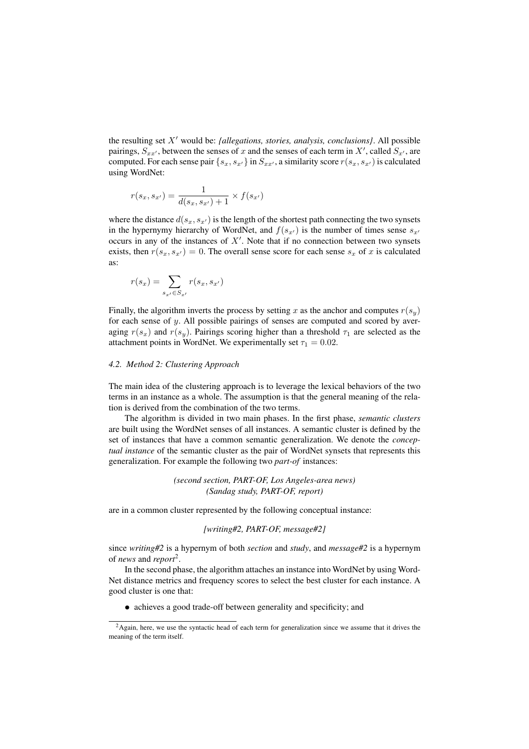the resulting set X' would be: *{allegations, stories, analysis, conclusions}*. All possible pairings,  $S_{xx}$ , between the senses of x and the senses of each term in  $X'$ , called  $S_{x'}$ , are computed. For each sense pair  $\{s_x, s_{x'}\}$  in  $S_{xx'}$ , a similarity score  $r(s_x, s_{x'})$  is calculated using WordNet:

$$
r(s_x, s_{x'}) = \frac{1}{d(s_x, s_{x'}) + 1} \times f(s_{x'})
$$

where the distance  $d(s_x, s_{x})$  is the length of the shortest path connecting the two synsets in the hypernymy hierarchy of WordNet, and  $f(s_{x})$  is the number of times sense  $s_{x}$ occurs in any of the instances of  $X'$ . Note that if no connection between two synsets exists, then  $r(s_x, s_{x}) = 0$ . The overall sense score for each sense  $s_x$  of x is calculated as:

$$
r(s_x) = \sum_{s_{x'} \in S_{x'}} r(s_x, s_{x'})
$$

Finally, the algorithm inverts the process by setting x as the anchor and computes  $r(s_y)$ for each sense of  $y$ . All possible pairings of senses are computed and scored by averaging  $r(s_x)$  and  $r(s_y)$ . Pairings scoring higher than a threshold  $\tau_1$  are selected as the attachment points in WordNet. We experimentally set  $\tau_1 = 0.02$ .

## *4.2. Method 2: Clustering Approach*

The main idea of the clustering approach is to leverage the lexical behaviors of the two terms in an instance as a whole. The assumption is that the general meaning of the relation is derived from the combination of the two terms.

The algorithm is divided in two main phases. In the first phase, *semantic clusters* are built using the WordNet senses of all instances. A semantic cluster is defined by the set of instances that have a common semantic generalization. We denote the *conceptual instance* of the semantic cluster as the pair of WordNet synsets that represents this generalization. For example the following two *part-of* instances:

> *(second section, PART-OF, Los Angeles-area news) (Sandag study, PART-OF, report)*

are in a common cluster represented by the following conceptual instance:

# *[writing#2, PART-OF, message#2]*

since *writing#2* is a hypernym of both *section* and *study*, and *message#2* is a hypernym of *news* and *report*<sup>2</sup> .

In the second phase, the algorithm attaches an instance into WordNet by using Word-Net distance metrics and frequency scores to select the best cluster for each instance. A good cluster is one that:

• achieves a good trade-off between generality and specificity; and

<sup>&</sup>lt;sup>2</sup>Again, here, we use the syntactic head of each term for generalization since we assume that it drives the meaning of the term itself.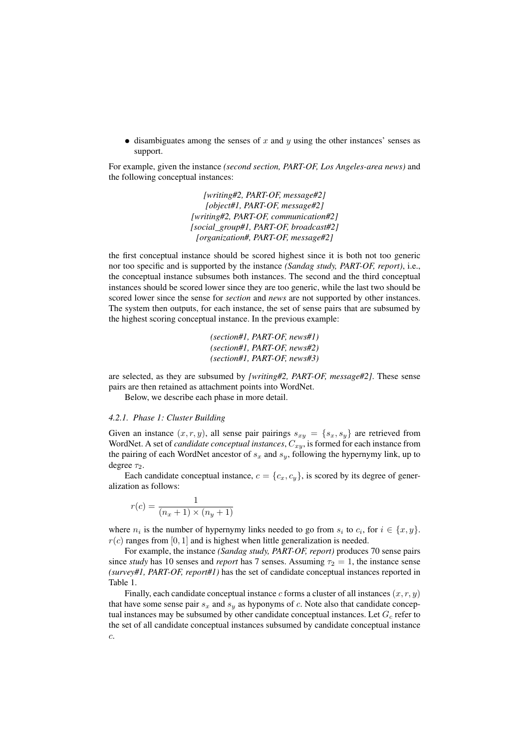• disambiguates among the senses of  $x$  and  $y$  using the other instances' senses as support.

For example, given the instance *(second section, PART-OF, Los Angeles-area news)* and the following conceptual instances:

> *[writing#2, PART-OF, message#2] [object#1, PART-OF, message#2] [writing#2, PART-OF, communication#2] [social\_group#1, PART-OF, broadcast#2] [organization#, PART-OF, message#2]*

the first conceptual instance should be scored highest since it is both not too generic nor too specific and is supported by the instance *(Sandag study, PART-OF, report)*, i.e., the conceptual instance subsumes both instances. The second and the third conceptual instances should be scored lower since they are too generic, while the last two should be scored lower since the sense for *section* and *news* are not supported by other instances. The system then outputs, for each instance, the set of sense pairs that are subsumed by the highest scoring conceptual instance. In the previous example:

> *(section#1, PART-OF, news#1) (section#1, PART-OF, news#2) (section#1, PART-OF, news#3)*

are selected, as they are subsumed by *[writing#2, PART-OF, message#2]*. These sense pairs are then retained as attachment points into WordNet.

Below, we describe each phase in more detail.

#### *4.2.1. Phase 1: Cluster Building*

Given an instance  $(x, r, y)$ , all sense pair pairings  $s_{xy} = \{s_x, s_y\}$  are retrieved from WordNet. A set of *candidate conceptual instances*,  $C_{xy}$ , is formed for each instance from the pairing of each WordNet ancestor of  $s_x$  and  $s_y$ , following the hypernymy link, up to degree  $\tau_2$ .

Each candidate conceptual instance,  $c = \{c_x, c_y\}$ , is scored by its degree of generalization as follows:

$$
r(c) = \frac{1}{(n_x + 1) \times (n_y + 1)}
$$

where  $n_i$  is the number of hypernymy links needed to go from  $s_i$  to  $c_i$ , for  $i \in \{x, y\}$ .  $r(c)$  ranges from [0, 1] and is highest when little generalization is needed.

For example, the instance *(Sandag study, PART-OF, report)* produces 70 sense pairs since *study* has 10 senses and *report* has 7 senses. Assuming  $\tau_2 = 1$ , the instance sense *(survey#1, PART-OF, report#1)* has the set of candidate conceptual instances reported in Table 1.

Finally, each candidate conceptual instance c forms a cluster of all instances  $(x, r, y)$ that have some sense pair  $s_x$  and  $s_y$  as hyponyms of c. Note also that candidate conceptual instances may be subsumed by other candidate conceptual instances. Let  $G_c$  refer to the set of all candidate conceptual instances subsumed by candidate conceptual instance c.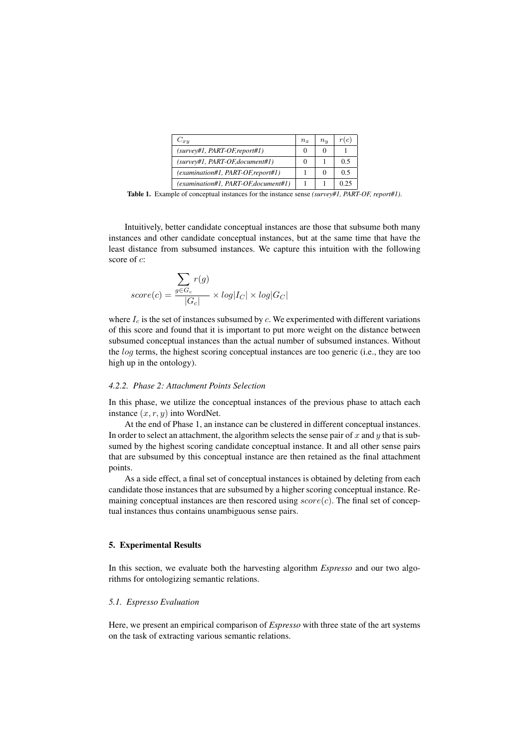| $C_{xu}$                             | $n_{r}$ | $n_{\rm u}$ | r(c) |
|--------------------------------------|---------|-------------|------|
| $(surve \#1, PART-OF, report \#1)$   |         |             |      |
| $(surve \#1, PART-OF, document \#1)$ |         |             | 0.5  |
| $(examination#1, PART-OF, report#1)$ |         |             | 0.5  |
| (examination#1, PART-OF, document#1) |         |             | 0.25 |

Table 1. Example of conceptual instances for the instance sense *(survey#1, PART-OF, report#1)*.

Intuitively, better candidate conceptual instances are those that subsume both many instances and other candidate conceptual instances, but at the same time that have the least distance from subsumed instances. We capture this intuition with the following score of c:

$$
score(c) = \frac{\sum_{g \in G_c} r(g)}{|G_c|} \times log|I_C| \times log|G_C|
$$

where  $I_c$  is the set of instances subsumed by c. We experimented with different variations of this score and found that it is important to put more weight on the distance between subsumed conceptual instances than the actual number of subsumed instances. Without the log terms, the highest scoring conceptual instances are too generic (i.e., they are too high up in the ontology).

# *4.2.2. Phase 2: Attachment Points Selection*

In this phase, we utilize the conceptual instances of the previous phase to attach each instance  $(x, r, y)$  into WordNet.

At the end of Phase 1, an instance can be clustered in different conceptual instances. In order to select an attachment, the algorithm selects the sense pair of x and y that is subsumed by the highest scoring candidate conceptual instance. It and all other sense pairs that are subsumed by this conceptual instance are then retained as the final attachment points.

As a side effect, a final set of conceptual instances is obtained by deleting from each candidate those instances that are subsumed by a higher scoring conceptual instance. Remaining conceptual instances are then rescored using  $score(c)$ . The final set of conceptual instances thus contains unambiguous sense pairs.

# 5. Experimental Results

In this section, we evaluate both the harvesting algorithm *Espresso* and our two algorithms for ontologizing semantic relations.

# *5.1. Espresso Evaluation*

Here, we present an empirical comparison of *Espresso* with three state of the art systems on the task of extracting various semantic relations.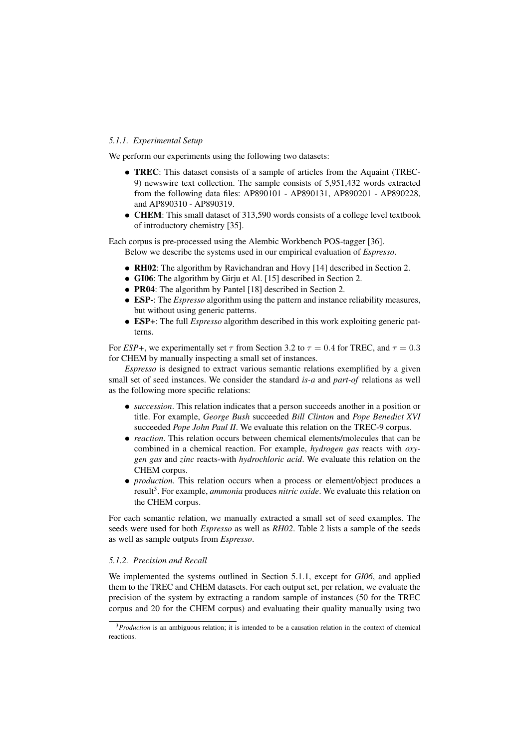# *5.1.1. Experimental Setup*

We perform our experiments using the following two datasets:

- TREC: This dataset consists of a sample of articles from the Aquaint (TREC-9) newswire text collection. The sample consists of 5,951,432 words extracted from the following data files: AP890101 - AP890131, AP890201 - AP890228, and AP890310 - AP890319.
- CHEM: This small dataset of 313,590 words consists of a college level textbook of introductory chemistry [35].

Each corpus is pre-processed using the Alembic Workbench POS-tagger [36]. Below we describe the systems used in our empirical evaluation of *Espresso*.

- RH02: The algorithm by Ravichandran and Hovy [14] described in Section 2.
- GI06: The algorithm by Girju et Al. [15] described in Section 2.
- PR04: The algorithm by Pantel [18] described in Section 2.
- ESP-: The *Espresso* algorithm using the pattern and instance reliability measures, but without using generic patterns.
- ESP+: The full *Espresso* algorithm described in this work exploiting generic patterns.

For *ESP*+, we experimentally set  $\tau$  from Section 3.2 to  $\tau = 0.4$  for TREC, and  $\tau = 0.3$ for CHEM by manually inspecting a small set of instances.

*Espresso* is designed to extract various semantic relations exemplified by a given small set of seed instances. We consider the standard *is-a* and *part-of* relations as well as the following more specific relations:

- *succession*. This relation indicates that a person succeeds another in a position or title. For example, *George Bush* succeeded *Bill Clinton* and *Pope Benedict XVI* succeeded *Pope John Paul II*. We evaluate this relation on the TREC-9 corpus.
- *reaction*. This relation occurs between chemical elements/molecules that can be combined in a chemical reaction. For example, *hydrogen gas* reacts with *oxygen gas* and *zinc* reacts-with *hydrochloric acid*. We evaluate this relation on the CHEM corpus.
- *production*. This relation occurs when a process or element/object produces a result<sup>3</sup>. For example, *ammonia* produces *nitric oxide*. We evaluate this relation on the CHEM corpus.

For each semantic relation, we manually extracted a small set of seed examples. The seeds were used for both *Espresso* as well as *RH02*. Table 2 lists a sample of the seeds as well as sample outputs from *Espresso*.

# *5.1.2. Precision and Recall*

We implemented the systems outlined in Section 5.1.1, except for *GI06*, and applied them to the TREC and CHEM datasets. For each output set, per relation, we evaluate the precision of the system by extracting a random sample of instances (50 for the TREC corpus and 20 for the CHEM corpus) and evaluating their quality manually using two

<sup>&</sup>lt;sup>3</sup>Production is an ambiguous relation; it is intended to be a causation relation in the context of chemical reactions.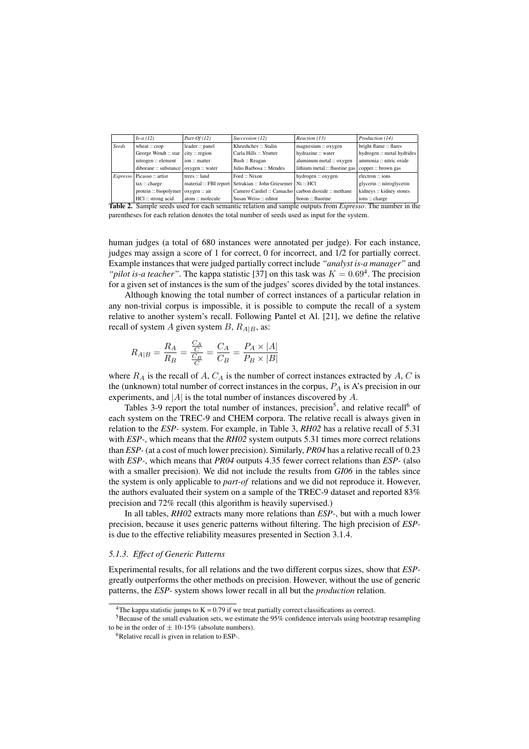|       | $Is-a(12)$                                    | $Part-Of(12)$                  | Succession (12)                                                  | Reaction (13)                                       | Production (14)            |
|-------|-----------------------------------------------|--------------------------------|------------------------------------------------------------------|-----------------------------------------------------|----------------------------|
| Seeds | wheat :: crop                                 | leader: panel                  | Khrushchev: Stalin                                               | magnesium::oxygen                                   | bright flame: flares       |
|       | George Wendt :: star                          | $\text{city} :: \text{region}$ | Carla Hills: Yeutter                                             | hydrazine :: water                                  | hydrogen :: metal hydrides |
|       | nitrogen :: element                           | ion :: matter                  | Bush: Reagan                                                     | aluminum metal :: oxygen                            | ammonia :: nitric oxide    |
|       | diborane :: substance $\vert$ oxygen :: water |                                | Julio Barbosa: Mendes                                            | lithium metal :: fluorine gas   copper :: brown gas |                            |
|       | $Espresso$   Picasso :: artist                | trees $::$ land                | Ford: $Nixon$                                                    | hydrogen: oxygen                                    | electron: ions             |
|       | tax: charge                                   |                                | material :: FBI report   Setrakian :: John Griesemer   Ni :: HCl |                                                     | glycerin :: nitroglycerin  |
|       | protein :: biopolymer $\vert$ oxygen :: air   |                                | Camero Cardiel :: Camacho   carbon dioxide :: methane            |                                                     | kidneys: kidney stones     |
|       | HCl: strong acid                              | atom: molecule                 | Susan Weiss: editor                                              | boron: fluorine                                     | ions: charge               |

Table 2. Sample seeds used for each semantic relation and sample outputs from *Espresso*. The number in the parentheses for each relation denotes the total number of seeds used as input for the system.

human judges (a total of 680 instances were annotated per judge). For each instance, judges may assign a score of 1 for correct, 0 for incorrect, and 1/2 for partially correct. Example instances that were judged partially correct include *"analyst is-a manager"* and "*pilot is-a teacher*". The kappa statistic [37] on this task was  $K = 0.69<sup>4</sup>$ . The precision for a given set of instances is the sum of the judges' scores divided by the total instances.

Although knowing the total number of correct instances of a particular relation in any non-trivial corpus is impossible, it is possible to compute the recall of a system relative to another system's recall. Following Pantel et Al. [21], we define the relative recall of system A given system B,  $R_{A|B}$ , as:

$$
R_{A|B} = \frac{R_A}{R_B} = \frac{\frac{C_A}{C}}{\frac{C_B}{C}} = \frac{C_A}{C_B} = \frac{P_A \times |A|}{P_B \times |B|}
$$

where  $R_A$  is the recall of A,  $C_A$  is the number of correct instances extracted by A, C is the (unknown) total number of correct instances in the corpus,  $P_A$  is A's precision in our experiments, and  $|A|$  is the total number of instances discovered by  $A$ .

Tables 3-9 report the total number of instances, precision<sup>5</sup>, and relative recall<sup>6</sup> of each system on the TREC-9 and CHEM corpora. The relative recall is always given in relation to the *ESP-* system. For example, in Table 3, *RH02* has a relative recall of 5.31 with *ESP-*, which means that the *RH02* system outputs 5.31 times more correct relations than *ESP-* (at a cost of much lower precision). Similarly, *PR04* has a relative recall of 0.23 with *ESP-*, which means that *PR04* outputs 4.35 fewer correct relations than *ESP-* (also with a smaller precision). We did not include the results from *GI06* in the tables since the system is only applicable to *part-of* relations and we did not reproduce it. However, the authors evaluated their system on a sample of the TREC-9 dataset and reported 83% precision and 72% recall (this algorithm is heavily supervised.)

In all tables, *RH02* extracts many more relations than *ESP-*, but with a much lower precision, because it uses generic patterns without filtering. The high precision of *ESP*is due to the effective reliability measures presented in Section 3.1.4.

## *5.1.3. Effect of Generic Patterns*

Experimental results, for all relations and the two different corpus sizes, show that *ESP*greatly outperforms the other methods on precision. However, without the use of generic patterns, the *ESP-* system shows lower recall in all but the *production* relation.

<sup>&</sup>lt;sup>4</sup>The kappa statistic jumps to  $K = 0.79$  if we treat partially correct classifications as correct.

<sup>5</sup>Because of the small evaluation sets, we estimate the 95% confidence intervals using bootstrap resampling to be in the order of  $\pm 10-15\%$  (absolute numbers).

<sup>&</sup>lt;sup>6</sup>Relative recall is given in relation to ESP-.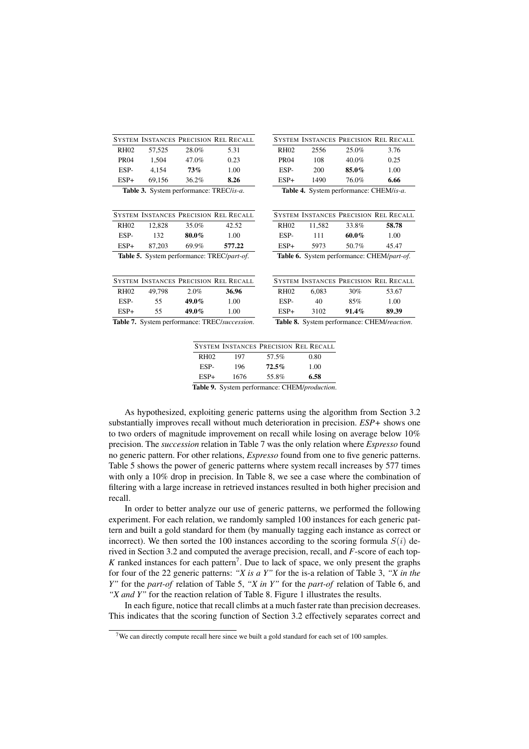|             |        |                                                   | <b>SYSTEM INSTANCES PRECISION REL RECALL</b>  |             |        |                                         | <b>SYSTEM INSTANCES PRECISION REL RECALL</b>      |
|-------------|--------|---------------------------------------------------|-----------------------------------------------|-------------|--------|-----------------------------------------|---------------------------------------------------|
| <b>RH02</b> | 57,525 | 28.0%                                             | 5.31                                          | <b>RH02</b> | 2556   | 25.0%                                   | 3.76                                              |
| <b>PR04</b> | 1,504  | 47.0%                                             | 0.23                                          | <b>PR04</b> | 108    | 40.0%                                   | 0.25                                              |
| ESP-        | 4,154  | 73%                                               | 1.00                                          | ESP-        | 200    | 85.0%                                   | 1.00                                              |
| ESP+        | 69,156 | 36.2%                                             | 8.26                                          | ESP+        | 1490   | 76.0%                                   | 6.66                                              |
|             |        | <b>Table 3.</b> System performance: TREC/is-a.    |                                               |             |        | Table 4. System performance: CHEM/is-a. |                                                   |
|             |        |                                                   |                                               |             |        |                                         |                                                   |
|             |        |                                                   | <b>SYSTEM INSTANCES PRECISION REL RECALL</b>  |             |        |                                         | <b>SYSTEM INSTANCES PRECISION REL RECALL</b>      |
| RH02        | 12,828 | 35.0%                                             | 42.52                                         | RH02        | 11,582 | 33.8%                                   | 58.78                                             |
| ESP-        | 132    | 80.0%                                             | 1.00                                          | ESP-        | 111    | 60.0%                                   | 1.00                                              |
| $ESP+$      | 87,203 | 69.9%                                             | 577.22                                        | $ESP+$      | 5973   | 50.7%                                   | 45.47                                             |
|             |        | <b>Table 5.</b> System performance: TREC/part-of. |                                               |             |        |                                         | <b>Table 6.</b> System performance: CHEM/part-of. |
|             |        |                                                   |                                               |             |        |                                         |                                                   |
|             |        |                                                   | <b>SYSTEM INSTANCES PRECISION REL RECALL</b>  |             |        |                                         | <b>SYSTEM INSTANCES PRECISION REL RECALL</b>      |
| <b>RH02</b> | 49,798 | $2.0\%$                                           | 36.96                                         | <b>RH02</b> | 6,083  | $30\%$                                  | 53.67                                             |
| ESP-        | 55     | 49.0%                                             | 1.00                                          | ESP-        | 40     | 85%                                     | 1.00                                              |
| $ESP+$      | 55     | 49.0%                                             | 1.00                                          | ESP+        | 3102   | 91.4%                                   | 89.39                                             |
|             |        |                                                   | Table 7. System performance: TREC/succession. |             |        |                                         | Table 8. System performance: CHEM/reaction.       |

|             |      |          | <b>SYSTEM INSTANCES PRECISION REL RECALL</b>  |
|-------------|------|----------|-----------------------------------------------|
| <b>RH02</b> | 197  | 57.5%    | 0.80                                          |
| ESP-        | 196  | $72.5\%$ | 1.00                                          |
| ESP+        | 1676 | 55.8%    | 6.58                                          |
|             |      |          | Table 9. System performance: CHEM/production. |

As hypothesized, exploiting generic patterns using the algorithm from Section 3.2 substantially improves recall without much deterioration in precision. *ESP+* shows one to two orders of magnitude improvement on recall while losing on average below 10% precision. The *succession* relation in Table 7 was the only relation where *Espresso* found no generic pattern. For other relations, *Espresso* found from one to five generic patterns. Table 5 shows the power of generic patterns where system recall increases by 577 times with only a 10% drop in precision. In Table 8, we see a case where the combination of filtering with a large increase in retrieved instances resulted in both higher precision and recall.

In order to better analyze our use of generic patterns, we performed the following experiment. For each relation, we randomly sampled 100 instances for each generic pattern and built a gold standard for them (by manually tagging each instance as correct or incorrect). We then sorted the 100 instances according to the scoring formula  $S(i)$  derived in Section 3.2 and computed the average precision, recall, and *F*-score of each top- $K$  ranked instances for each pattern<sup>7</sup>. Due to lack of space, we only present the graphs for four of the 22 generic patterns: *"X is a Y"* for the is-a relation of Table 3, *"X in the Y"* for the *part-of* relation of Table 5, *"X in Y"* for the *part-of* relation of Table 6, and *"X and Y"* for the reaction relation of Table 8. Figure 1 illustrates the results.

In each figure, notice that recall climbs at a much faster rate than precision decreases. This indicates that the scoring function of Section 3.2 effectively separates correct and

<sup>&</sup>lt;sup>7</sup>We can directly compute recall here since we built a gold standard for each set of 100 samples.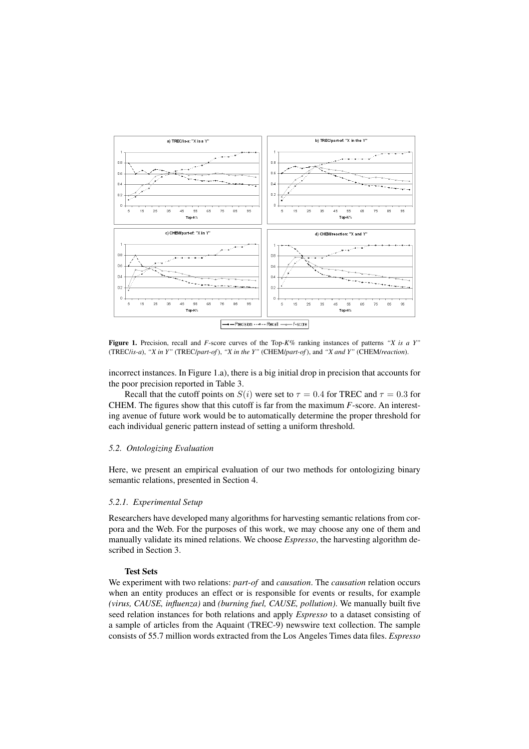

Figure 1. Precision, recall and *F*-score curves of the Top-*K*% ranking instances of patterns *"X is a Y"* (TREC/*is-a*), *"X in Y"* (TREC/*part-of*), *"X in the Y"* (CHEM/*part-of*), and *"X and Y"* (CHEM/*reaction*).

incorrect instances. In Figure 1.a), there is a big initial drop in precision that accounts for the poor precision reported in Table 3.

Recall that the cutoff points on  $S(i)$  were set to  $\tau = 0.4$  for TREC and  $\tau = 0.3$  for CHEM. The figures show that this cutoff is far from the maximum *F*-score. An interesting avenue of future work would be to automatically determine the proper threshold for each individual generic pattern instead of setting a uniform threshold.

## *5.2. Ontologizing Evaluation*

Here, we present an empirical evaluation of our two methods for ontologizing binary semantic relations, presented in Section 4.

# *5.2.1. Experimental Setup*

Researchers have developed many algorithms for harvesting semantic relations from corpora and the Web. For the purposes of this work, we may choose any one of them and manually validate its mined relations. We choose *Espresso*, the harvesting algorithm described in Section 3.

## Test Sets

We experiment with two relations: *part-of* and *causation*. The *causation* relation occurs when an entity produces an effect or is responsible for events or results, for example *(virus, CAUSE, influenza)* and *(burning fuel, CAUSE, pollution)*. We manually built five seed relation instances for both relations and apply *Espresso* to a dataset consisting of a sample of articles from the Aquaint (TREC-9) newswire text collection. The sample consists of 55.7 million words extracted from the Los Angeles Times data files. *Espresso*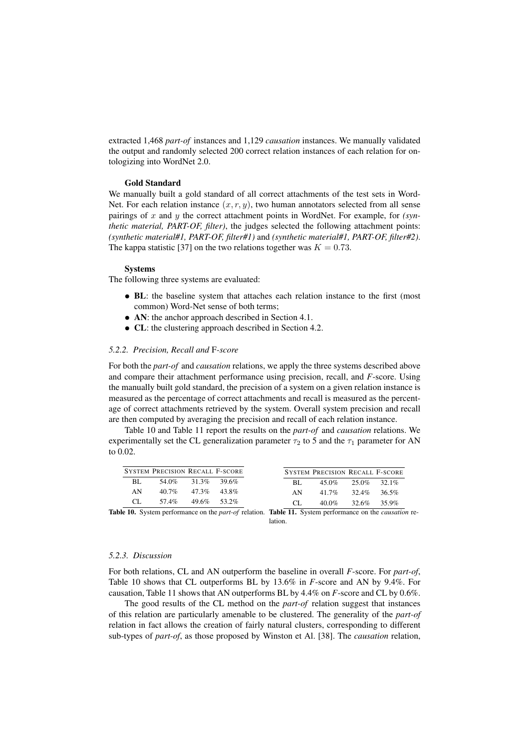extracted 1,468 *part-of* instances and 1,129 *causation* instances. We manually validated the output and randomly selected 200 correct relation instances of each relation for ontologizing into WordNet 2.0.

# Gold Standard

We manually built a gold standard of all correct attachments of the test sets in Word-Net. For each relation instance  $(x, r, y)$ , two human annotators selected from all sense pairings of x and y the correct attachment points in WordNet. For example, for *(synthetic material, PART-OF, filter)*, the judges selected the following attachment points: *(synthetic material#1, PART-OF, filter#1)* and *(synthetic material#1, PART-OF, filter#2)*. The kappa statistic [37] on the two relations together was  $K = 0.73$ .

# Systems

The following three systems are evaluated:

- BL: the baseline system that attaches each relation instance to the first (most common) Word-Net sense of both terms;
- AN: the anchor approach described in Section 4.1.
- CL: the clustering approach described in Section 4.2.

## *5.2.2. Precision, Recall and* F*-score*

For both the *part-of* and *causation* relations, we apply the three systems described above and compare their attachment performance using precision, recall, and *F*-score. Using the manually built gold standard, the precision of a system on a given relation instance is measured as the percentage of correct attachments and recall is measured as the percentage of correct attachments retrieved by the system. Overall system precision and recall are then computed by averaging the precision and recall of each relation instance.

Table 10 and Table 11 report the results on the *part-of* and *causation* relations. We experimentally set the CL generalization parameter  $\tau_2$  to 5 and the  $\tau_1$  parameter for AN to 0.02.

|     | <b>SYSTEM PRECISION RECALL F-SCORE</b> |       |       |     | <b>SYSTEM PRECISION RECALL F-SCORE</b> |                |       |
|-----|----------------------------------------|-------|-------|-----|----------------------------------------|----------------|-------|
| BL. | 54.0%                                  | 31.3% | 39.6% | BL. | $45.0\%$                               | 25.0%          | 32.1% |
| AN  | $40.7\%$                               | 47.3% | 43.8% | AN  | 41.7%                                  | $32.4\%$ 36.5% |       |
| CL. | 57.4%                                  | 49.6% | 53.2% | CL. | 40.0%                                  | 32.6% 35.9%    |       |

lation.

#### *5.2.3. Discussion*

For both relations, CL and AN outperform the baseline in overall *F*-score. For *part-of*, Table 10 shows that CL outperforms BL by 13.6% in *F*-score and AN by 9.4%. For causation, Table 11 shows that AN outperforms BL by 4.4% on *F*-score and CL by 0.6%.

The good results of the CL method on the *part-of* relation suggest that instances of this relation are particularly amenable to be clustered. The generality of the *part-of* relation in fact allows the creation of fairly natural clusters, corresponding to different sub-types of *part-of*, as those proposed by Winston et Al. [38]. The *causation* relation,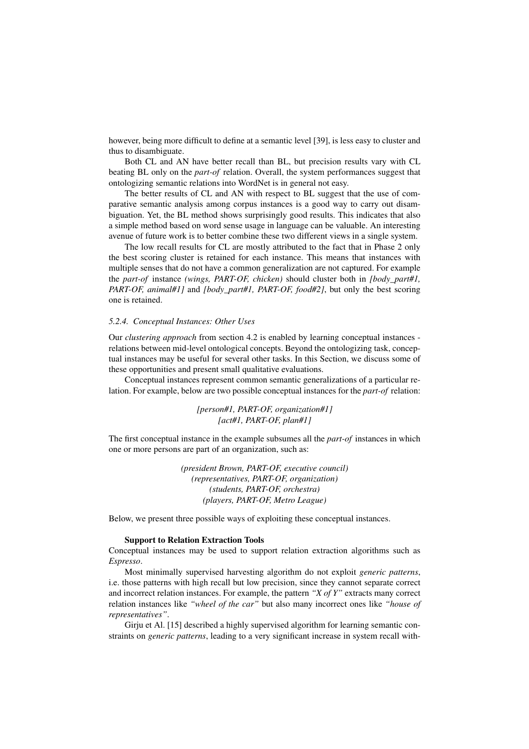however, being more difficult to define at a semantic level [39], is less easy to cluster and thus to disambiguate.

Both CL and AN have better recall than BL, but precision results vary with CL beating BL only on the *part-of* relation. Overall, the system performances suggest that ontologizing semantic relations into WordNet is in general not easy.

The better results of CL and AN with respect to BL suggest that the use of comparative semantic analysis among corpus instances is a good way to carry out disambiguation. Yet, the BL method shows surprisingly good results. This indicates that also a simple method based on word sense usage in language can be valuable. An interesting avenue of future work is to better combine these two different views in a single system.

The low recall results for CL are mostly attributed to the fact that in Phase 2 only the best scoring cluster is retained for each instance. This means that instances with multiple senses that do not have a common generalization are not captured. For example the *part-of* instance *(wings, PART-OF, chicken)* should cluster both in *[body\_part#1, PART-OF, animal#1]* and *[body\_part#1, PART-OF, food#2]*, but only the best scoring one is retained.

## *5.2.4. Conceptual Instances: Other Uses*

Our *clustering approach* from section 4.2 is enabled by learning conceptual instances relations between mid-level ontological concepts. Beyond the ontologizing task, conceptual instances may be useful for several other tasks. In this Section, we discuss some of these opportunities and present small qualitative evaluations.

Conceptual instances represent common semantic generalizations of a particular relation. For example, below are two possible conceptual instances for the *part-of* relation:

> *[person#1, PART-OF, organization#1] [act#1, PART-OF, plan#1]*

The first conceptual instance in the example subsumes all the *part-of* instances in which one or more persons are part of an organization, such as:

> *(president Brown, PART-OF, executive council) (representatives, PART-OF, organization) (students, PART-OF, orchestra) (players, PART-OF, Metro League)*

Below, we present three possible ways of exploiting these conceptual instances.

## Support to Relation Extraction Tools

Conceptual instances may be used to support relation extraction algorithms such as *Espresso*.

Most minimally supervised harvesting algorithm do not exploit *generic patterns*, i.e. those patterns with high recall but low precision, since they cannot separate correct and incorrect relation instances. For example, the pattern *"X of Y"* extracts many correct relation instances like *"wheel of the car"* but also many incorrect ones like *"house of representatives"*.

Girju et Al. [15] described a highly supervised algorithm for learning semantic constraints on *generic patterns*, leading to a very significant increase in system recall with-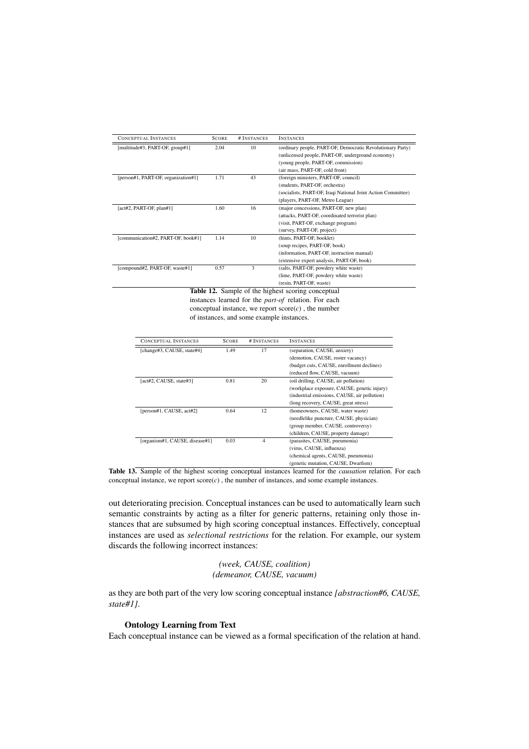| <b>CONCEPTUAL INSTANCES</b>                               | <b>SCORE</b> | # INSTANCES | <b>INSTANCES</b>                                             |  |  |
|-----------------------------------------------------------|--------------|-------------|--------------------------------------------------------------|--|--|
| [multitude#3, PART-OF, group#1]                           | 2.04         | 10          | (ordinary people, PART-OF, Democratic Revolutionary Party)   |  |  |
|                                                           |              |             | (unlicensed people, PART-OF, underground economy)            |  |  |
|                                                           |              |             | (young people, PART-OF, commission)                          |  |  |
|                                                           |              |             | (air mass, PART-OF, cold front)                              |  |  |
| [person#1, PART-OF, organization#1]                       | 1.71         | 43          | (foreign ministers, PART-OF, council)                        |  |  |
|                                                           |              |             | (students, PART-OF, orchestra)                               |  |  |
|                                                           |              |             | (socialists, PART-OF, Iraqi National Joint Action Committee) |  |  |
|                                                           |              |             | (players, PART-OF, Metro League)                             |  |  |
| [ $act#2$ , $PART-OF$ , $plan#1$ ]                        | 1.60         | 16          | (major concessions, PART-OF, new plan)                       |  |  |
|                                                           |              |             | (attacks, PART-OF, coordinated terrorist plan)               |  |  |
|                                                           |              |             | (visit, PART-OF, exchange program)                           |  |  |
|                                                           |              |             | (survey, PART-OF, project)                                   |  |  |
| [communication#2, PART-OF, book#1]                        | 1.14         | 10          | (hints, PART-OF, booklet)                                    |  |  |
|                                                           |              |             | (soup recipes, PART-OF, book)                                |  |  |
|                                                           |              |             | (information, PART-OF, instruction manual)                   |  |  |
|                                                           |              |             | (extensive expert analysis, PART-OF, book)                   |  |  |
| [compound#2, PART-OF, waste#1]                            | 0.57         | 3           | (salts, PART-OF, powdery white waste)                        |  |  |
|                                                           |              |             | (lime, PART-OF, powdery white waste)                         |  |  |
|                                                           |              |             | (resin, PART-OF, waste)                                      |  |  |
| <b>Table 12.</b> Sample of the highest scoring conceptual |              |             |                                                              |  |  |

instances learned for the *part-of* relation. For each conceptual instance, we report  $score(c)$ , the number of instances, and some example instances.

| <b>CONCEPTUAL INSTANCES</b>    | <b>SCORE</b> | # INSTANCES    | <b>INSTANCES</b>                             |
|--------------------------------|--------------|----------------|----------------------------------------------|
| [change#3, CAUSE, state#4]     | 1.49         | 17             | (separation, CAUSE, anxiety)                 |
|                                |              |                | (demotion, CAUSE, roster vacancy)            |
|                                |              |                | (budget cuts, CAUSE, enrollment declines)    |
|                                |              |                | (reduced flow, CAUSE, vacuum)                |
| [act#2, CAUSE, state#3]        | 0.81         | 20             | (oil drilling, CAUSE, air pollution)         |
|                                |              |                | (workplace exposure, CAUSE, genetic injury)  |
|                                |              |                | (industrial emissions, CAUSE, air pollution) |
|                                |              |                | (long recovery, CAUSE, great stress)         |
| [person#1, CAUSE, act#2]       | 0.64         | 12             | (homeowners, CAUSE, water waste)             |
|                                |              |                | (needlelike puncture, CAUSE, physician)      |
|                                |              |                | (group member, CAUSE, controversy)           |
|                                |              |                | (children, CAUSE, property damage)           |
| [organism#1, CAUSE, disease#1] | 0.03         | $\overline{4}$ | (parasites, CAUSE, pneumonia)                |
|                                |              |                | (virus, CAUSE, influenza)                    |
|                                |              |                | (chemical agents, CAUSE, pneumonia)          |
|                                |              |                | (genetic mutation, CAUSE, Dwarfism)          |

Table 13. Sample of the highest scoring conceptual instances learned for the *causation* relation. For each conceptual instance, we report  $score(c)$ , the number of instances, and some example instances.

out deteriorating precision. Conceptual instances can be used to automatically learn such semantic constraints by acting as a filter for generic patterns, retaining only those instances that are subsumed by high scoring conceptual instances. Effectively, conceptual instances are used as *selectional restrictions* for the relation. For example, our system discards the following incorrect instances:

> *(week, CAUSE, coalition) (demeanor, CAUSE, vacuum)*

as they are both part of the very low scoring conceptual instance *[abstraction#6, CAUSE, state#1]*.

# Ontology Learning from Text

Each conceptual instance can be viewed as a formal specification of the relation at hand.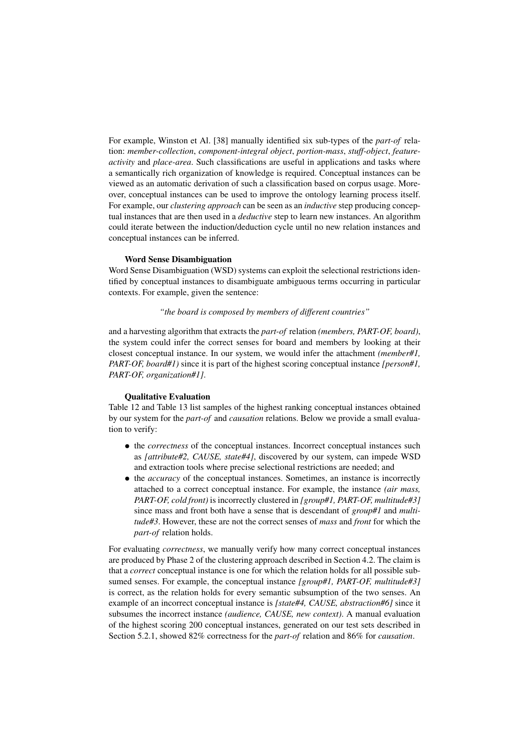For example, Winston et Al. [38] manually identified six sub-types of the *part-of* relation: *member-collection*, *component-integral object*, *portion-mass*, *stuff-object*, *featureactivity* and *place-area*. Such classifications are useful in applications and tasks where a semantically rich organization of knowledge is required. Conceptual instances can be viewed as an automatic derivation of such a classification based on corpus usage. Moreover, conceptual instances can be used to improve the ontology learning process itself. For example, our *clustering approach* can be seen as an *inductive* step producing conceptual instances that are then used in a *deductive* step to learn new instances. An algorithm could iterate between the induction/deduction cycle until no new relation instances and conceptual instances can be inferred.

#### Word Sense Disambiguation

Word Sense Disambiguation (WSD) systems can exploit the selectional restrictions identified by conceptual instances to disambiguate ambiguous terms occurring in particular contexts. For example, given the sentence:

## *"the board is composed by members of different countries"*

and a harvesting algorithm that extracts the *part-of* relation *(members, PART-OF, board)*, the system could infer the correct senses for board and members by looking at their closest conceptual instance. In our system, we would infer the attachment *(member#1, PART-OF, board#1)* since it is part of the highest scoring conceptual instance *[person#1, PART-OF, organization#1]*.

## Qualitative Evaluation

Table 12 and Table 13 list samples of the highest ranking conceptual instances obtained by our system for the *part-of* and *causation* relations. Below we provide a small evaluation to verify:

- the *correctness* of the conceptual instances. Incorrect conceptual instances such as *[attribute#2, CAUSE, state#4]*, discovered by our system, can impede WSD and extraction tools where precise selectional restrictions are needed; and
- the *accuracy* of the conceptual instances. Sometimes, an instance is incorrectly attached to a correct conceptual instance. For example, the instance *(air mass, PART-OF, cold front)* is incorrectly clustered in *[group#1, PART-OF, multitude#3]* since mass and front both have a sense that is descendant of *group#1* and *multitude#3*. However, these are not the correct senses of *mass* and *front* for which the *part-of* relation holds.

For evaluating *correctness*, we manually verify how many correct conceptual instances are produced by Phase 2 of the clustering approach described in Section 4.2. The claim is that a *correct* conceptual instance is one for which the relation holds for all possible subsumed senses. For example, the conceptual instance *[group#1, PART-OF, multitude#3]* is correct, as the relation holds for every semantic subsumption of the two senses. An example of an incorrect conceptual instance is *[state#4, CAUSE, abstraction#6]* since it subsumes the incorrect instance *(audience, CAUSE, new context)*. A manual evaluation of the highest scoring 200 conceptual instances, generated on our test sets described in Section 5.2.1, showed 82% correctness for the *part-of* relation and 86% for *causation*.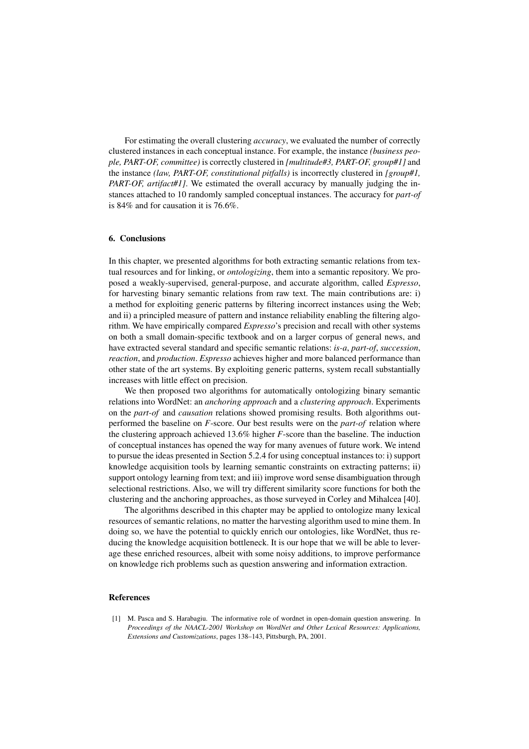For estimating the overall clustering *accuracy*, we evaluated the number of correctly clustered instances in each conceptual instance. For example, the instance *(business people, PART-OF, committee)* is correctly clustered in *[multitude#3, PART-OF, group#1]* and the instance *(law, PART-OF, constitutional pitfalls)* is incorrectly clustered in *[group#1, PART-OF, artifact#1]*. We estimated the overall accuracy by manually judging the instances attached to 10 randomly sampled conceptual instances. The accuracy for *part-of* is 84% and for causation it is 76.6%.

## 6. Conclusions

In this chapter, we presented algorithms for both extracting semantic relations from textual resources and for linking, or *ontologizing*, them into a semantic repository. We proposed a weakly-supervised, general-purpose, and accurate algorithm, called *Espresso*, for harvesting binary semantic relations from raw text. The main contributions are: i) a method for exploiting generic patterns by filtering incorrect instances using the Web; and ii) a principled measure of pattern and instance reliability enabling the filtering algorithm. We have empirically compared *Espresso*'s precision and recall with other systems on both a small domain-specific textbook and on a larger corpus of general news, and have extracted several standard and specific semantic relations: *is-a*, *part-of*, *succession*, *reaction*, and *production*. *Espresso* achieves higher and more balanced performance than other state of the art systems. By exploiting generic patterns, system recall substantially increases with little effect on precision.

We then proposed two algorithms for automatically ontologizing binary semantic relations into WordNet: an *anchoring approach* and a *clustering approach*. Experiments on the *part-of* and *causation* relations showed promising results. Both algorithms outperformed the baseline on *F*-score. Our best results were on the *part-of* relation where the clustering approach achieved 13.6% higher *F*-score than the baseline. The induction of conceptual instances has opened the way for many avenues of future work. We intend to pursue the ideas presented in Section 5.2.4 for using conceptual instances to: i) support knowledge acquisition tools by learning semantic constraints on extracting patterns; ii) support ontology learning from text; and iii) improve word sense disambiguation through selectional restrictions. Also, we will try different similarity score functions for both the clustering and the anchoring approaches, as those surveyed in Corley and Mihalcea [40].

The algorithms described in this chapter may be applied to ontologize many lexical resources of semantic relations, no matter the harvesting algorithm used to mine them. In doing so, we have the potential to quickly enrich our ontologies, like WordNet, thus reducing the knowledge acquisition bottleneck. It is our hope that we will be able to leverage these enriched resources, albeit with some noisy additions, to improve performance on knowledge rich problems such as question answering and information extraction.

# References

[1] M. Pasca and S. Harabagiu. The informative role of wordnet in open-domain question answering. In *Proceedings of the NAACL-2001 Workshop on WordNet and Other Lexical Resources: Applications, Extensions and Customizations*, pages 138–143, Pittsburgh, PA, 2001.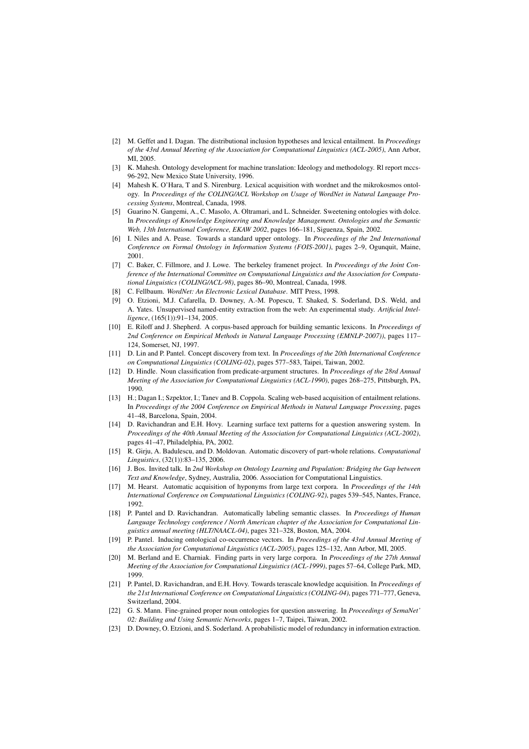- [2] M. Geffet and I. Dagan. The distributional inclusion hypotheses and lexical entailment. In *Proceedings of the 43rd Annual Meeting of the Association for Computational Linguistics (ACL-2005)*, Ann Arbor, MI<sub>2005</sub>
- [3] K. Mahesh. Ontology development for machine translation: Ideology and methodology. Rl report mccs-96-292, New Mexico State University, 1996.
- [4] Mahesh K. O'Hara, T and S. Nirenburg. Lexical acquisition with wordnet and the mikrokosmos ontology. In *Proceedings of the COLING/ACL Workshop on Usage of WordNet in Natural Language Processing Systems*, Montreal, Canada, 1998.
- [5] Guarino N. Gangemi, A., C. Masolo, A. Oltramari, and L. Schneider. Sweetening ontologies with dolce. In *Proceedings of Knowledge Engineering and Knowledge Management. Ontologies and the Semantic Web, 13th International Conference, EKAW 2002*, pages 166–181, Siguenza, Spain, 2002.
- [6] I. Niles and A. Pease. Towards a standard upper ontology. In *Proceedings of the 2nd International Conference on Formal Ontology in Information Systems (FOIS-2001)*, pages 2–9, Ogunquit, Maine, 2001.
- [7] C. Baker, C. Fillmore, and J. Lowe. The berkeley framenet project. In *Proceedings of the Joint Conference of the International Committee on Computational Linguistics and the Association for Computational Linguistics (COLING/ACL-98)*, pages 86–90, Montreal, Canada, 1998.
- [8] C. Fellbaum. *WordNet: An Electronic Lexical Database*. MIT Press, 1998.
- [9] O. Etzioni, M.J. Cafarella, D. Downey, A.-M. Popescu, T. Shaked, S. Soderland, D.S. Weld, and A. Yates. Unsupervised named-entity extraction from the web: An experimental study. *Artificial Intelligence*, (165(1)):91–134, 2005.
- [10] E. Riloff and J. Shepherd. A corpus-based approach for building semantic lexicons. In *Proceedings of 2nd Conference on Empirical Methods in Natural Language Processing (EMNLP-2007))*, pages 117– 124, Somerset, NJ, 1997.
- [11] D. Lin and P. Pantel. Concept discovery from text. In *Proceedings of the 20th International Conference on Computational Linguistics (COLING-02)*, pages 577–583, Taipei, Taiwan, 2002.
- [12] D. Hindle. Noun classification from predicate-argument structures. In *Proceedings of the 28rd Annual Meeting of the Association for Computational Linguistics (ACL-1990)*, pages 268–275, Pittsburgh, PA, 1990.
- [13] H.; Dagan I.; Szpektor, I.; Tanev and B. Coppola. Scaling web-based acquisition of entailment relations. In *Proceedings of the 2004 Conference on Empirical Methods in Natural Language Processing*, pages 41–48, Barcelona, Spain, 2004.
- [14] D. Ravichandran and E.H. Hovy. Learning surface text patterns for a question answering system. In *Proceedings of the 40th Annual Meeting of the Association for Computational Linguistics (ACL-2002)*, pages 41–47, Philadelphia, PA, 2002.
- [15] R. Girju, A. Badulescu, and D. Moldovan. Automatic discovery of part-whole relations. *Computational Linguistics*, (32(1)):83–135, 2006.
- [16] J. Bos. Invited talk. In *2nd Workshop on Ontology Learning and Population: Bridging the Gap between Text and Knowledge*, Sydney, Australia, 2006. Association for Computational Linguistics.
- [17] M. Hearst. Automatic acquisition of hyponyms from large text corpora. In *Proceedings of the 14th International Conference on Computational Linguistics (COLING-92)*, pages 539–545, Nantes, France, 1992.
- [18] P. Pantel and D. Ravichandran. Automatically labeling semantic classes. In *Proceedings of Human Language Technology conference / North American chapter of the Association for Computational Linguistics annual meeting (HLT/NAACL-04)*, pages 321–328, Boston, MA, 2004.
- [19] P. Pantel. Inducing ontological co-occurrence vectors. In *Proceedings of the 43rd Annual Meeting of the Association for Computational Linguistics (ACL-2005)*, pages 125–132, Ann Arbor, MI, 2005.
- [20] M. Berland and E. Charniak. Finding parts in very large corpora. In *Proceedings of the 27th Annual Meeting of the Association for Computational Linguistics (ACL-1999)*, pages 57–64, College Park, MD, 1999.
- [21] P. Pantel, D. Ravichandran, and E.H. Hovy. Towards terascale knowledge acquisition. In *Proceedings of the 21st International Conference on Computational Linguistics (COLING-04)*, pages 771–777, Geneva, Switzerland, 2004.
- [22] G. S. Mann. Fine-grained proper noun ontologies for question answering. In *Proceedings of SemaNet' 02: Building and Using Semantic Networks*, pages 1–7, Taipei, Taiwan, 2002.
- [23] D. Downey, O. Etzioni, and S. Soderland. A probabilistic model of redundancy in information extraction.